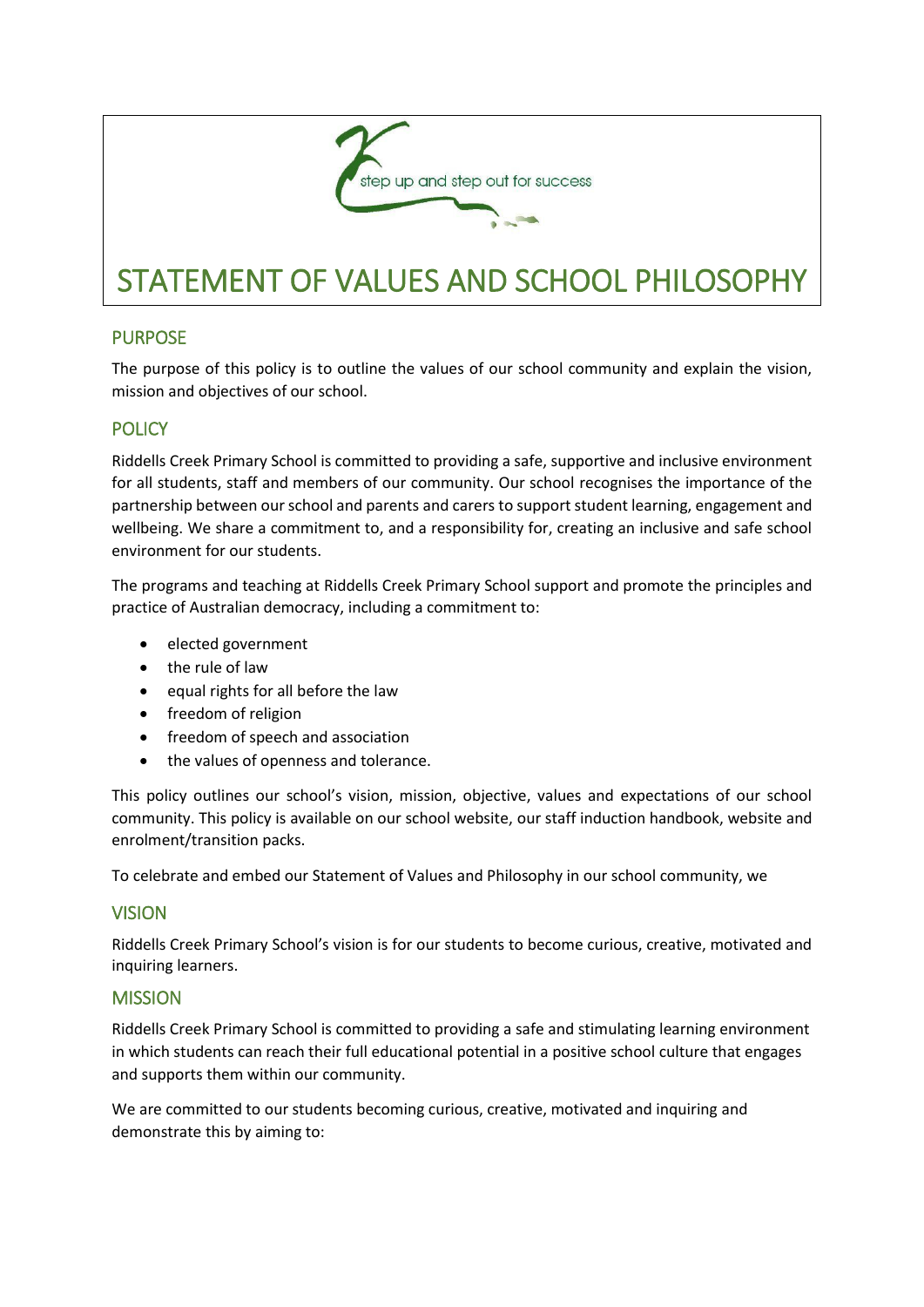

# STATEMENT OF VALUES AND SCHOOL PHILOSOPHY

# PURPOSE

The purpose of this policy is to outline the values of our school community and explain the vision, mission and objectives of our school.

# **POLICY**

Riddells Creek Primary School is committed to providing a safe, supportive and inclusive environment for all students, staff and members of our community. Our school recognises the importance of the partnership between our school and parents and carers to support student learning, engagement and wellbeing. We share a commitment to, and a responsibility for, creating an inclusive and safe school environment for our students.

The programs and teaching at Riddells Creek Primary School support and promote the principles and practice of Australian democracy, including a commitment to:

- elected government
- the rule of law
- equal rights for all before the law
- freedom of religion
- freedom of speech and association
- the values of openness and tolerance.

This policy outlines our school's vision, mission, objective, values and expectations of our school community. This policy is available on our school website, our staff induction handbook, website and enrolment/transition packs.

To celebrate and embed our Statement of Values and Philosophy in our school community, we

## **VISION**

Riddells Creek Primary School's vision is for our students to become curious, creative, motivated and inquiring learners.

## **MISSION**

Riddells Creek Primary School is committed to providing a safe and stimulating learning environment in which students can reach their full educational potential in a positive school culture that engages and supports them within our community.

We are committed to our students becoming curious, creative, motivated and inquiring and demonstrate this by aiming to: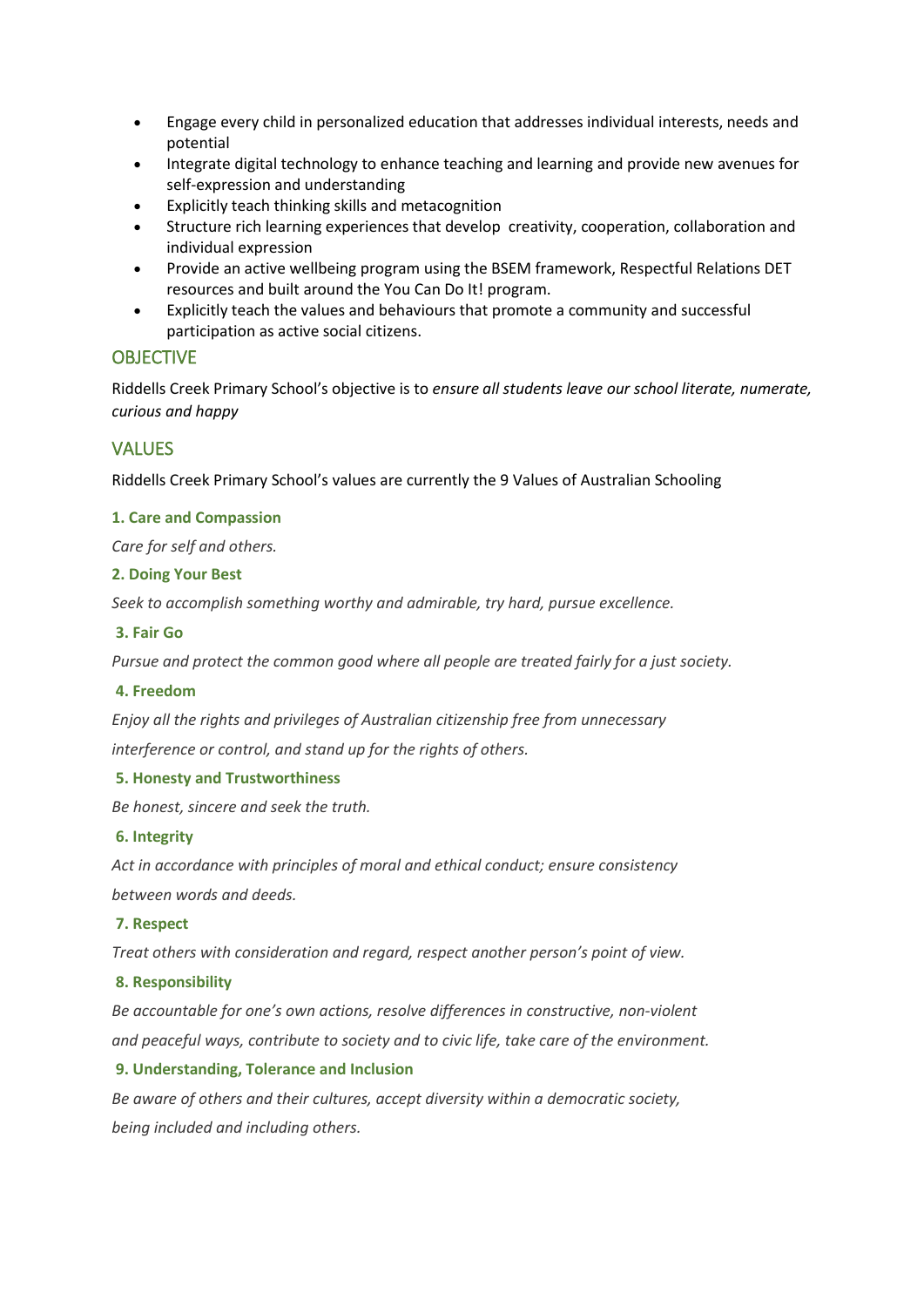- Engage every child in personalized education that addresses individual interests, needs and potential
- Integrate digital technology to enhance teaching and learning and provide new avenues for self-expression and understanding
- Explicitly teach thinking skills and metacognition
- Structure rich learning experiences that develop creativity, cooperation, collaboration and individual expression
- Provide an active wellbeing program using the BSEM framework, Respectful Relations DET resources and built around the You Can Do It! program.
- Explicitly teach the values and behaviours that promote a community and successful participation as active social citizens.

## **OBJECTIVE**

Riddells Creek Primary School's objective is to *ensure all students leave our school literate, numerate, curious and happy*

## **VALUES**

Riddells Creek Primary School's values are currently the 9 Values of Australian Schooling

#### **1. Care and Compassion**

*Care for self and others.*

#### **2. Doing Your Best**

*Seek to accomplish something worthy and admirable, try hard, pursue excellence.*

#### **3. Fair Go**

*Pursue and protect the common good where all people are treated fairly for a just society.*

#### **4. Freedom**

*Enjoy all the rights and privileges of Australian citizenship free from unnecessary*

*interference or control, and stand up for the rights of others.*

#### **5. Honesty and Trustworthiness**

*Be honest, sincere and seek the truth.*

#### **6. Integrity**

*Act in accordance with principles of moral and ethical conduct; ensure consistency between words and deeds.*

#### **7. Respect**

*Treat others with consideration and regard, respect another person's point of view.*

#### **8. Responsibility**

*Be accountable for one's own actions, resolve differences in constructive, non-violent and peaceful ways, contribute to society and to civic life, take care of the environment.*

#### **9. Understanding, Tolerance and Inclusion**

*Be aware of others and their cultures, accept diversity within a democratic society, being included and including others.*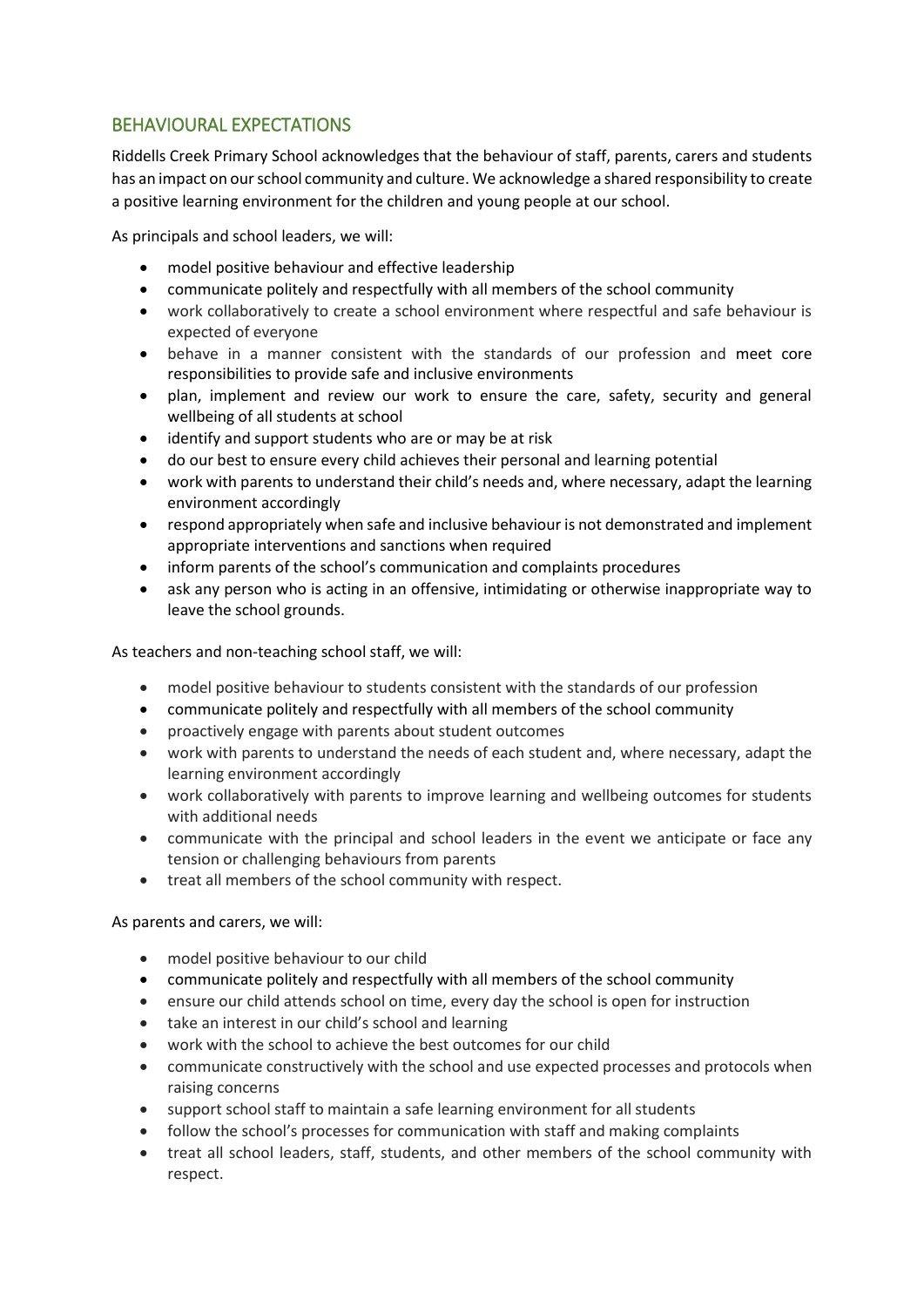# BEHAVIOURAL EXPECTATIONS

Riddells Creek Primary School acknowledges that the behaviour of staff, parents, carers and students has an impact on our school community and culture. We acknowledge a shared responsibility to create a positive learning environment for the children and young people at our school.

As principals and school leaders, we will:

- model positive behaviour and effective leadership
- communicate politely and respectfully with all members of the school community
- work collaboratively to create a school environment where respectful and safe behaviour is expected of everyone
- behave in a manner consistent with the standards of our profession and meet core responsibilities to provide safe and inclusive environments
- plan, implement and review our work to ensure the care, safety, security and general wellbeing of all students at school
- identify and support students who are or may be at risk
- do our best to ensure every child achieves their personal and learning potential
- work with parents to understand their child's needs and, where necessary, adapt the learning environment accordingly
- respond appropriately when safe and inclusive behaviour is not demonstrated and implement appropriate interventions and sanctions when required
- inform parents of the school's communication and complaints procedures
- ask any person who is acting in an offensive, intimidating or otherwise inappropriate way to leave the school grounds.

As teachers and non-teaching school staff, we will:

- model positive behaviour to students consistent with the standards of our profession
- communicate politely and respectfully with all members of the school community
- proactively engage with parents about student outcomes
- work with parents to understand the needs of each student and, where necessary, adapt the learning environment accordingly
- work collaboratively with parents to improve learning and wellbeing outcomes for students with additional needs
- communicate with the principal and school leaders in the event we anticipate or face any tension or challenging behaviours from parents
- treat all members of the school community with respect.

## As parents and carers, we will:

- model positive behaviour to our child
- communicate politely and respectfully with all members of the school community
- ensure our child attends school on time, every day the school is open for instruction
- take an interest in our child's school and learning
- work with the school to achieve the best outcomes for our child
- communicate constructively with the school and use expected processes and protocols when raising concerns
- support school staff to maintain a safe learning environment for all students
- follow the school's processes for communication with staff and making complaints
- treat all school leaders, staff, students, and other members of the school community with respect.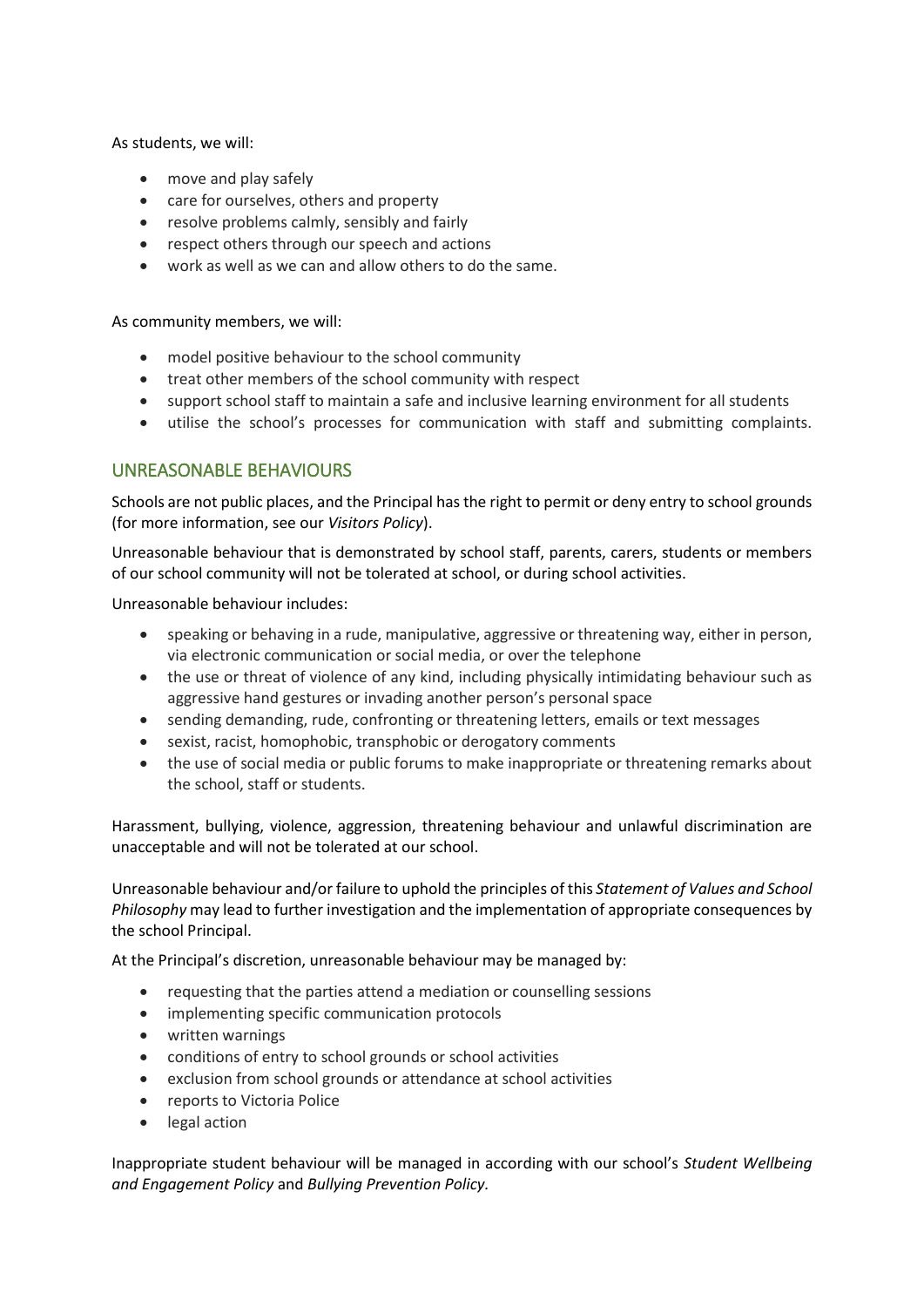As students, we will:

- move and play safely
- care for ourselves, others and property
- resolve problems calmly, sensibly and fairly
- respect others through our speech and actions
- work as well as we can and allow others to do the same.

As community members, we will:

- model positive behaviour to the school community
- treat other members of the school community with respect
- support school staff to maintain a safe and inclusive learning environment for all students
- utilise the school's processes for communication with staff and submitting complaints.

## UNREASONABLE BEHAVIOURS

Schools are not public places, and the Principal has the right to permit or deny entry to school grounds (for more information, see our *Visitors Policy*).

Unreasonable behaviour that is demonstrated by school staff, parents, carers, students or members of our school community will not be tolerated at school, or during school activities.

Unreasonable behaviour includes:

- speaking or behaving in a rude, manipulative, aggressive or threatening way, either in person, via electronic communication or social media, or over the telephone
- the use or threat of violence of any kind, including physically intimidating behaviour such as aggressive hand gestures or invading another person's personal space
- sending demanding, rude, confronting or threatening letters, emails or text messages
- sexist, racist, homophobic, transphobic or derogatory comments
- the use of social media or public forums to make inappropriate or threatening remarks about the school, staff or students.

Harassment, bullying, violence, aggression, threatening behaviour and unlawful discrimination are unacceptable and will not be tolerated at our school.

Unreasonable behaviour and/or failure to uphold the principles of this *Statement of Values and School Philosophy* may lead to further investigation and the implementation of appropriate consequences by the school Principal.

At the Principal's discretion, unreasonable behaviour may be managed by:

- requesting that the parties attend a mediation or counselling sessions
- implementing specific communication protocols
- written warnings
- conditions of entry to school grounds or school activities
- exclusion from school grounds or attendance at school activities
- reports to Victoria Police
- legal action

Inappropriate student behaviour will be managed in according with our school's *Student Wellbeing and Engagement Policy* and *Bullying Prevention Policy.*